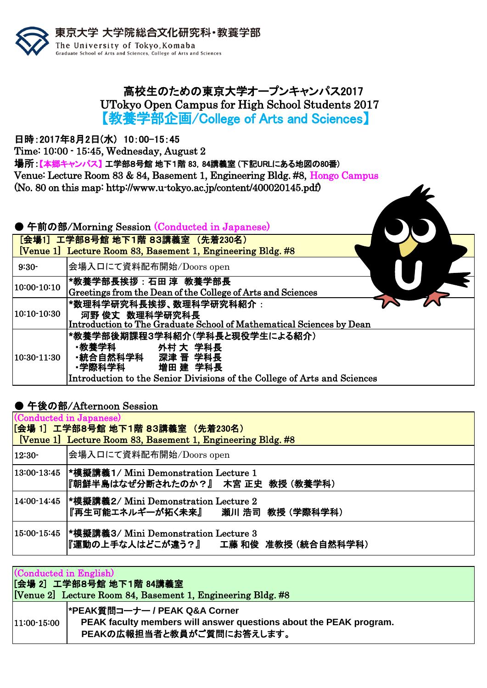

## 高校生のための東京大学オープンキャンパス2017 UTokyo Open Campus for High School Students 2017 【教養学部企画/College of Arts and Sciences】

日時:2017年8月2日(水) 10:00-15:45

Time: 10:00 - 15:45, Wednesday, August 2

場所:【本郷キャンパス】 工学部8号館 地下1階 83,84講義室 (下記URLにある地図の80番)

Venue: Lecture Room 83 & 84, Basement 1, Engineering Bldg. #8, Hongo Campus

(No. 80 on this map: http://www.u-tokyo.ac.jp/content/400020145.pdf)



## ● 午後の部/Afternoon Session

| (Conducted in Japanese)<br> [会場 1] 工学部8号館 地下1階 83講義室 (先着230名)<br>  [Venue 1] Lecture Room 83, Basement 1, Engineering Bldg. #8 |                                                                                             |  |
|--------------------------------------------------------------------------------------------------------------------------------|---------------------------------------------------------------------------------------------|--|
| $12:30-$                                                                                                                       | 会場入口にて資料配布開始/Doors open                                                                     |  |
|                                                                                                                                | 13:00-13:45   横擬講義1/ Mini Demonstration Lecture 1<br>『朝鮮半島はなぜ分断されたのか?』 木宮 正史 教授 (教養学科)      |  |
|                                                                                                                                | 14:00-14:45  *模擬講義2/ Mini Demonstration Lecture 2<br>『再生可能エネルギ―が拓く未来』 - 瀬川 浩司 教授 (学際科学科)    |  |
|                                                                                                                                | 15:00-15:45   横擬講義3/ Mini Demonstration Lecture 3<br> 『運動の上手な人はどこが違う?』  工藤 和俊 准教授 (統合自然科学科) |  |

| (Conducted in English) | [会場 2] 工学部8号館 地下1階 84講義室<br>[Venue 2] Lecture Room 84, Basement 1, Engineering Bldg. #8                                          |
|------------------------|----------------------------------------------------------------------------------------------------------------------------------|
| $ 11:00-15:00 $        | *PEAK質問コーナー / PEAK Q&A Corner<br>PEAK faculty members will answer questions about the PEAK program.<br>PEAKの広報担当者と教員がご質問にお答えします。 |